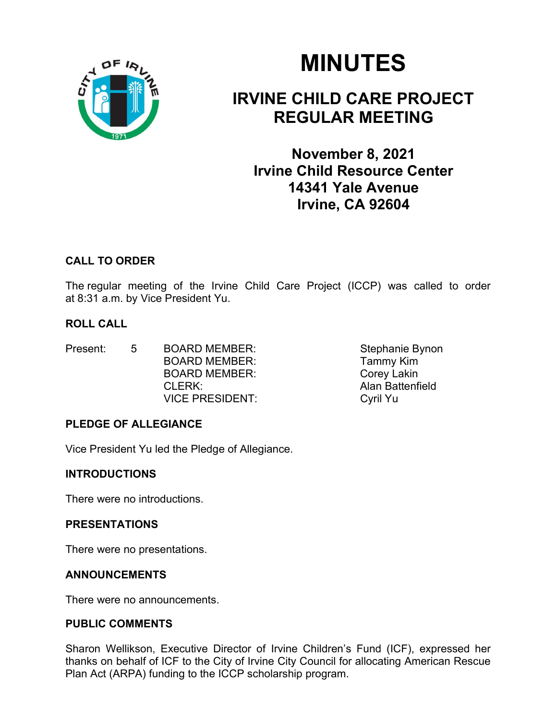

# MINUTES

# IRVINE CHILD CARE PROJECT REGULAR MEETING

November 8, 2021 Irvine Child Resource Center 14341 Yale Avenue Irvine, CA 92604

# CALL TO ORDER

The regular meeting of the Irvine Child Care Project (ICCP) was called to order at 8:31 a.m. by Vice President Yu.

# ROLL CALL

- Present: 5 BOARD MEMBER: Stephanie Bynon BOARD MEMBER: Tammy Kim BOARD MEMBER: Corey Lakin CLERK: Alan Battenfield VICE PRESIDENT: Cyril Yu
- 

# PLEDGE OF ALLEGIANCE

Vice President Yu led the Pledge of Allegiance.

# **INTRODUCTIONS**

There were no introductions.

# PRESENTATIONS

There were no presentations.

# ANNOUNCEMENTS

There were no announcements.

# PUBLIC COMMENTS

Sharon Wellikson, Executive Director of Irvine Children's Fund (ICF), expressed her thanks on behalf of ICF to the City of Irvine City Council for allocating American Rescue Plan Act (ARPA) funding to the ICCP scholarship program.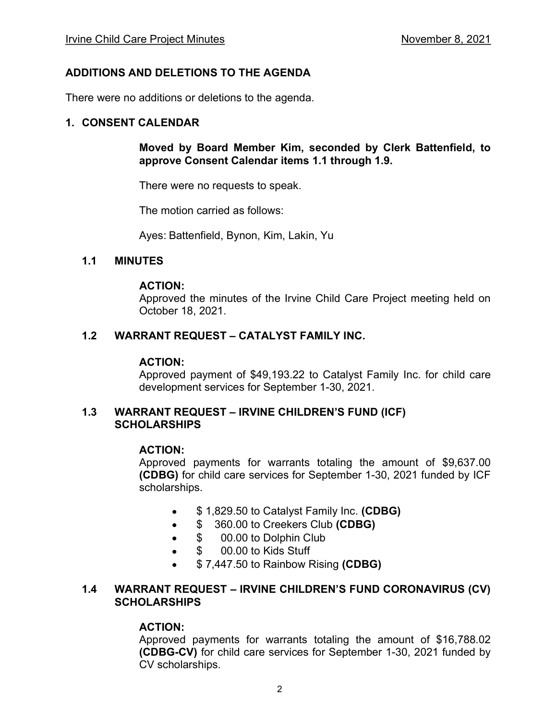#### ADDITIONS AND DELETIONS TO THE AGENDA

There were no additions or deletions to the agenda.

#### 1. CONSENT CALENDAR

#### Moved by Board Member Kim, seconded by Clerk Battenfield, to approve Consent Calendar items 1.1 through 1.9.

There were no requests to speak.

The motion carried as follows:

Ayes: Battenfield, Bynon, Kim, Lakin, Yu

#### 1.1 MINUTES

#### ACTION:

 Approved the minutes of the Irvine Child Care Project meeting held on October 18, 2021.

#### 1.2 WARRANT REQUEST - CATALYST FAMILY INC.

#### ACTION:

Approved payment of \$49,193.22 to Catalyst Family Inc. for child care development services for September 1-30, 2021.

#### 1.3 WARRANT REQUEST - IRVINE CHILDREN'S FUND (ICF) **SCHOLARSHIPS**

#### ACTION:

Approved payments for warrants totaling the amount of \$9,637.00 (CDBG) for child care services for September 1-30, 2021 funded by ICF scholarships.

- $\bullet$  \$ 1,829.50 to Catalyst Family Inc. (CDBG)
- $\bullet$  \$ 360.00 to Creekers Club (CDBG)
- $\bullet$  \$ 00.00 to Dolphin Club
- \$ 00.00 to Kids Stuff
- \$ 7,447.50 to Rainbow Rising (CDBG)

#### 1.4 WARRANT REQUEST - IRVINE CHILDREN'S FUND CORONAVIRUS (CV) **SCHOLARSHIPS**

#### ACTION:

Approved payments for warrants totaling the amount of \$16,788.02 (CDBG-CV) for child care services for September 1-30, 2021 funded by CV scholarships.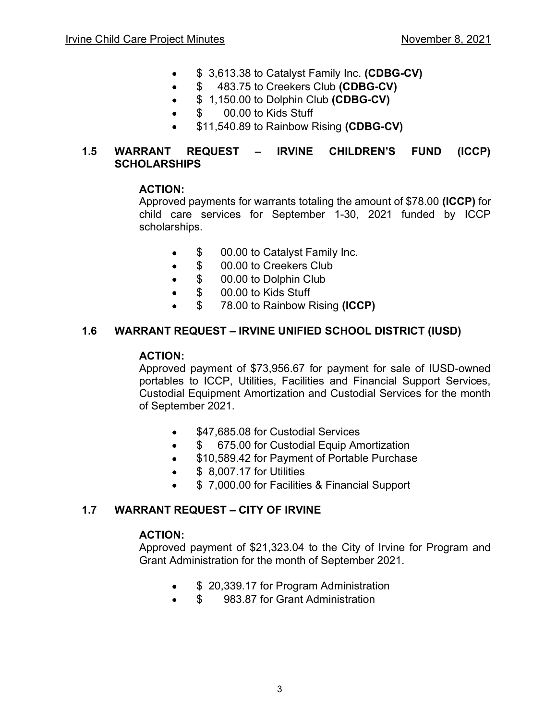- $\bullet$   $\$$  3,613.38 to Catalyst Family Inc. (CDBG-CV)
- $\bullet$  \$483.75 to Creekers Club (CDBG-CV)
- $\bullet$  \$ 1,150.00 to Dolphin Club (CDBG-CV)
- \$ 00.00 to Kids Stuff
- **\$11,540.89 to Rainbow Rising (CDBG-CV)**

#### 1.5 WARRANT REQUEST – IRVINE CHILDREN'S FUND (ICCP) **SCHOLARSHIPS**

#### ACTION:

Approved payments for warrants totaling the amount of \$78.00 (ICCP) for child care services for September 1-30, 2021 funded by ICCP scholarships.

- \$ 00.00 to Catalyst Family Inc.
- \$ 00.00 to Creekers Club
- **\$** 00.00 to Dolphin Club
- \$ 00.00 to Kids Stuff
- \$ 78.00 to Rainbow Rising (ICCP)

#### 1.6 WARRANT REQUEST IRVINE UNIFIED SCHOOL DISTRICT (IUSD)

#### ACTION:

Approved payment of \$73,956.67 for payment for sale of IUSD-owned portables to ICCP, Utilities, Facilities and Financial Support Services, Custodial Equipment Amortization and Custodial Services for the month of September 2021.

- \$47,685.08 for Custodial Services
- **\$** 675.00 for Custodial Equip Amortization
- \$10,589.42 for Payment of Portable Purchase
- **\$** 8,007.17 for Utilities
- **•** \$7,000.00 for Facilities & Financial Support

#### 1.7 WARRANT REQUEST - CITY OF IRVINE

#### ACTION:

Approved payment of \$21,323.04 to the City of Irvine for Program and Grant Administration for the month of September 2021.

- \$ 20,339.17 for Program Administration
- \$ 983.87 for Grant Administration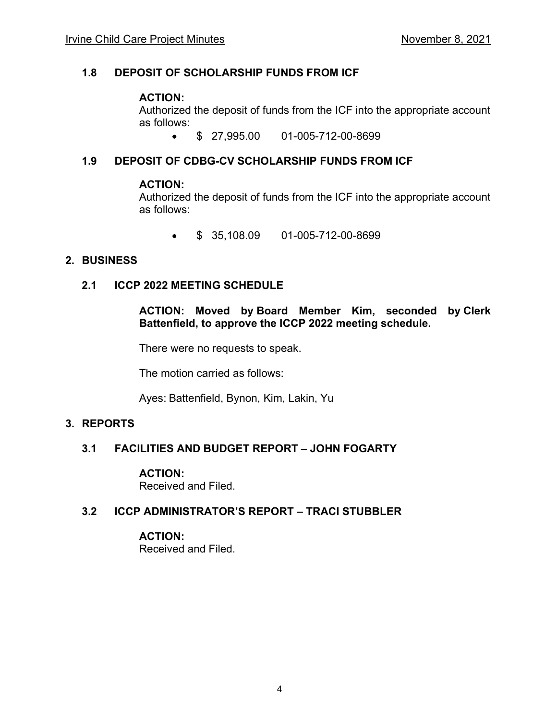#### 1.8 DEPOSIT OF SCHOLARSHIP FUNDS FROM ICF

#### ACTION:

Authorized the deposit of funds from the ICF into the appropriate account as follows:

\$ 27,995.00 01-005-712-00-8699

# 1.9 DEPOSIT OF CDBG-CV SCHOLARSHIP FUNDS FROM ICF

#### ACTION:

Authorized the deposit of funds from the ICF into the appropriate account as follows:

 $\bullet$  \$ 35,108.09 01-005-712-00-8699

#### 2. BUSINESS

#### 2.1 ICCP 2022 MEETING SCHEDULE

ACTION: Moved by Board Member Kim, seconded by Clerk Battenfield, to approve the ICCP 2022 meeting schedule.

There were no requests to speak.

The motion carried as follows:

Ayes: Battenfield, Bynon, Kim, Lakin, Yu

#### 3. REPORTS

# 3.1 FACILITIES AND BUDGET REPORT - JOHN FOGARTY

#### ACTION:

Received and Filed.

#### 3.2 ICCP ADMINISTRATOR'S REPORT - TRACI STUBBLER

#### ACTION:

Received and Filed.